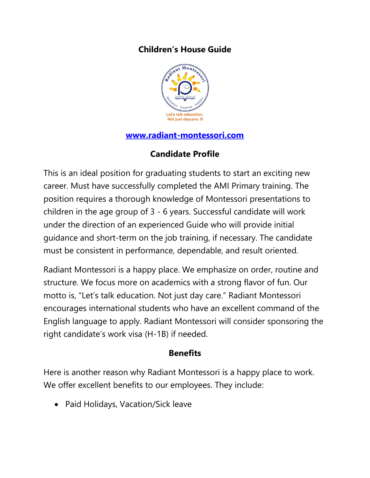# **Children's House Guide**



#### **[www.radiant-montessori.com](http://www.radiant-montessori.com/)**

# **Candidate Profile**

This is an ideal position for graduating students to start an exciting new career. Must have successfully completed the AMI Primary training. The position requires a thorough knowledge of Montessori presentations to children in the age group of 3 - 6 years. Successful candidate will work under the direction of an experienced Guide who will provide initial guidance and short-term on the job training, if necessary. The candidate must be consistent in performance, dependable, and result oriented.

Radiant Montessori is a happy place. We emphasize on order, routine and structure. We focus more on academics with a strong flavor of fun. Our motto is, "Let's talk education. Not just day care." Radiant Montessori encourages international students who have an excellent command of the English language to apply. Radiant Montessori will consider sponsoring the right candidate's work visa (H-1B) if needed.

#### **Benefits**

Here is another reason why Radiant Montessori is a happy place to work. We offer excellent benefits to our employees. They include:

Paid Holidays, Vacation/Sick leave